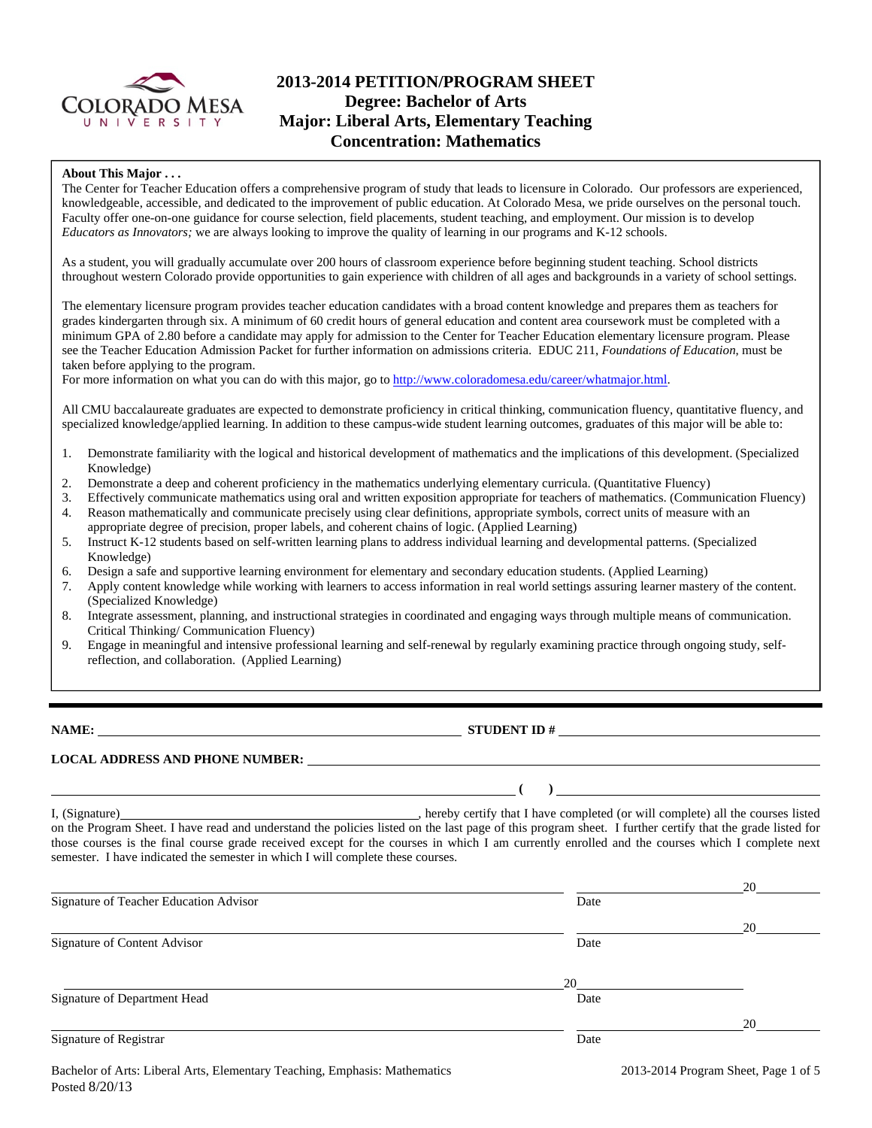

## **2013-2014 PETITION/PROGRAM SHEET Degree: Bachelor of Arts Major: Liberal Arts, Elementary Teaching Concentration: Mathematics**

#### **About This Major . . .**

The Center for Teacher Education offers a comprehensive program of study that leads to licensure in Colorado. Our professors are experienced, knowledgeable, accessible, and dedicated to the improvement of public education. At Colorado Mesa, we pride ourselves on the personal touch. Faculty offer one-on-one guidance for course selection, field placements, student teaching, and employment. Our mission is to develop *Educators as Innovators;* we are always looking to improve the quality of learning in our programs and K-12 schools.

As a student, you will gradually accumulate over 200 hours of classroom experience before beginning student teaching. School districts throughout western Colorado provide opportunities to gain experience with children of all ages and backgrounds in a variety of school settings.

The elementary licensure program provides teacher education candidates with a broad content knowledge and prepares them as teachers for grades kindergarten through six. A minimum of 60 credit hours of general education and content area coursework must be completed with a minimum GPA of 2.80 before a candidate may apply for admission to the Center for Teacher Education elementary licensure program. Please see the Teacher Education Admission Packet for further information on admissions criteria. EDUC 211, *Foundations of Education*, must be taken before applying to the program.

For more information on what you can do with this major, go to http://www.coloradomesa.edu/career/whatmajor.html.

All CMU baccalaureate graduates are expected to demonstrate proficiency in critical thinking, communication fluency, quantitative fluency, and specialized knowledge/applied learning. In addition to these campus-wide student learning outcomes, graduates of this major will be able to:

- 1. Demonstrate familiarity with the logical and historical development of mathematics and the implications of this development. (Specialized Knowledge)
- 2. Demonstrate a deep and coherent proficiency in the mathematics underlying elementary curricula. (Quantitative Fluency)
- 3. Effectively communicate mathematics using oral and written exposition appropriate for teachers of mathematics. (Communication Fluency)
- 4. Reason mathematically and communicate precisely using clear definitions, appropriate symbols, correct units of measure with an appropriate degree of precision, proper labels, and coherent chains of logic. (Applied Learning)
- 5. Instruct K-12 students based on self-written learning plans to address individual learning and developmental patterns. (Specialized Knowledge)
- 6. Design a safe and supportive learning environment for elementary and secondary education students. (Applied Learning)
- 7. Apply content knowledge while working with learners to access information in real world settings assuring learner mastery of the content. (Specialized Knowledge)
- 8. Integrate assessment, planning, and instructional strategies in coordinated and engaging ways through multiple means of communication. Critical Thinking/ Communication Fluency)
- 9. Engage in meaningful and intensive professional learning and self-renewal by regularly examining practice through ongoing study, selfreflection, and collaboration. (Applied Learning)

**NAME: STUDENT ID #**

 **( )** 

#### **LOCAL ADDRESS AND PHONE NUMBER:**

I, (Signature) , hereby certify that I have completed (or will complete) all the courses listed on the Program Sheet. I have read and understand the policies listed on the last page of this program sheet. I further certify that the grade listed for those courses is the final course grade received except for the courses in which I am currently enrolled and the courses which I complete next semester. I have indicated the semester in which I will complete these courses.

|                                        |      | 20 |
|----------------------------------------|------|----|
| Signature of Teacher Education Advisor | Date |    |
|                                        |      | 20 |
| Signature of Content Advisor           | Date |    |
|                                        | 20   |    |
| Signature of Department Head           | Date |    |
|                                        |      | 20 |
| Signature of Registrar                 | Date |    |
|                                        |      |    |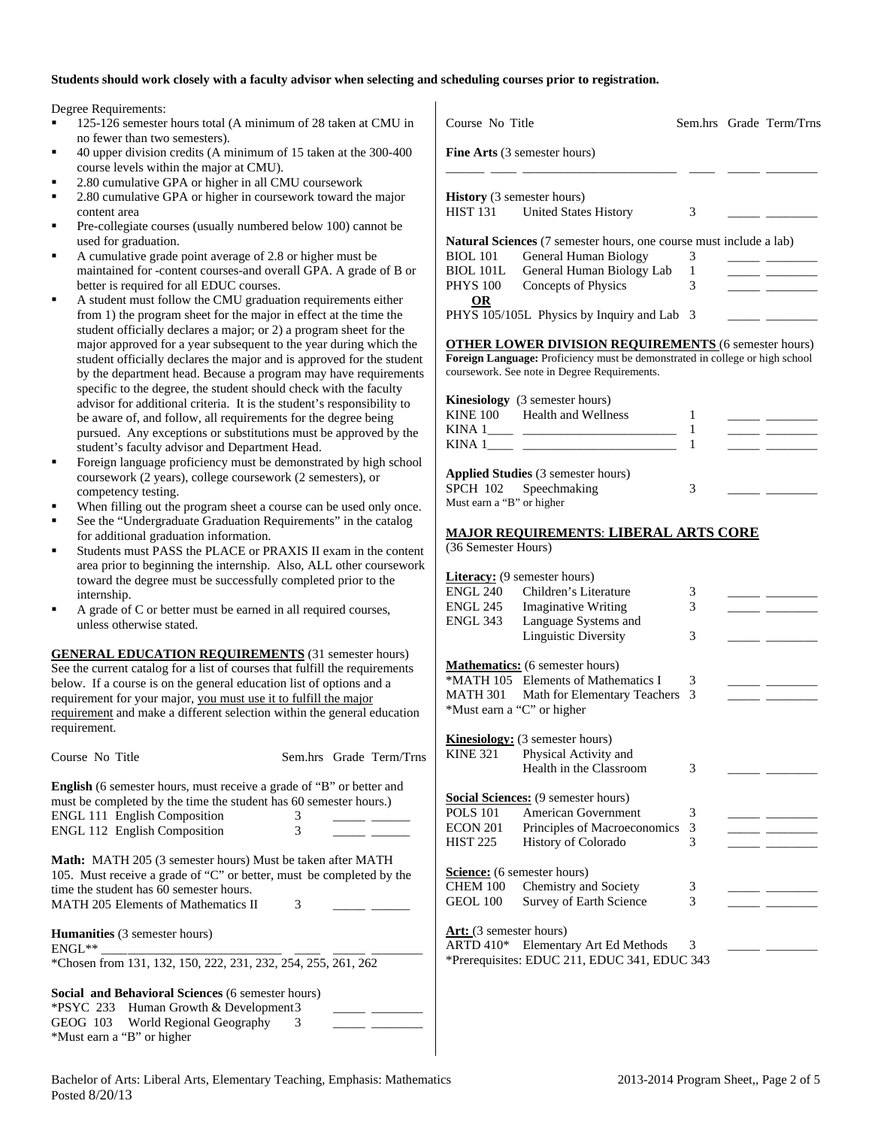### **Students should work closely with a faculty advisor when selecting and scheduling courses prior to registration.**

Degree Requirements:

- 125-126 semester hours total (A minimum of 28 taken at CM no fewer than two semesters). 40 upper division credits (A minimum of 15 taken at the 300course levels within the major at CMU). 2.80 cumulative GPA or higher in all CMU coursework 2.80 cumulative GPA or higher in coursework toward the maj content area Pre-collegiate courses (usually numbered below 100) cannot used for graduation.
	- A cumulative grade point average of 2.8 or higher must be maintained for -content courses-and overall GPA. A grade of better is required for all EDUC courses.
- A student must follow the CMU graduation requirements eith from 1) the program sheet for the major in effect at the time the student officially declares a major; or 2) a program sheet for the major approved for a year subsequent to the year during which student officially declares the major and is approved for the st by the department head. Because a program may have require specific to the degree, the student should check with the facult advisor for additional criteria. It is the student's responsibility be aware of, and follow, all requirements for the degree being pursued. Any exceptions or substitutions must be approved by student's faculty advisor and Department Head.
- Foreign language proficiency must be demonstrated by high s coursework (2 years), college coursework (2 semesters), or competency testing.
- When filling out the program sheet a course can be used only
- See the "Undergraduate Graduation Requirements" in the catalog at  $\alpha$ for additional graduation information.
- Students must PASS the PLACE or PRAXIS II exam in the co area prior to beginning the internship. Also, ALL other course toward the degree must be successfully completed prior to the internship.
- A grade of C or better must be earned in all required courses, unless otherwise stated.

**GENERAL EDUCATION REQUIREMENTS** (31 semester hours) See the current catalog for a list of courses that fulfill the requirements below. If a course is on the general education list of options and a requirement for your major, you must use it to fulfill the major requirement and make a different selection within the general educ requirement.

| Course No Title                                                                                                                                                                                                                    |   | Sem.hrs Grade Term/Trns |
|------------------------------------------------------------------------------------------------------------------------------------------------------------------------------------------------------------------------------------|---|-------------------------|
| <b>English</b> (6 semester hours, must receive a grade of "B" or better and                                                                                                                                                        |   |                         |
| must be completed by the time the student has 60 semester hours.)                                                                                                                                                                  |   |                         |
| <b>ENGL 111 English Composition</b>                                                                                                                                                                                                | 3 |                         |
| <b>ENGL 112 English Composition</b>                                                                                                                                                                                                | 3 |                         |
| <b>Math:</b> MATH 205 (3 semester hours) Must be taken after MATH<br>105. Must receive a grade of "C" or better, must be completed by the<br>time the student has 60 semester hours.<br><b>MATH 205 Elements of Mathematics II</b> | 3 |                         |
| <b>Humanities</b> (3 semester hours)<br>$ENGL^{**}$                                                                                                                                                                                |   |                         |
| *Chosen from 131, 132, 150, 222, 231, 232, 254, 255, 261, 262                                                                                                                                                                      |   |                         |
| Social and Behavioral Sciences (6 semester hours)                                                                                                                                                                                  |   |                         |
| <b>*PSYC 233</b> Human Growth & Development 3                                                                                                                                                                                      |   |                         |

| Fine Arts (3 semester hours)<br><b>History</b> (3 semester hours)<br>HIST 131 United States History<br><b>Natural Sciences</b> (7 semester hours, one course must include a lab)<br><b>BIOL</b> 101<br>General Human Biology<br>BIOL 101L<br>General Human Biology Lab<br>Concepts of Physics<br><b>PHYS 100</b><br><b>OR</b><br>PHYS 105/105L Physics by Inquiry and Lab 3<br><b>OTHER LOWER DIVISION REQUIREMENTS (6 semester hours)</b><br>Foreign Language: Proficiency must be demonstrated in college or high school<br>coursework. See note in Degree Requirements.<br><b>Kinesiology</b> (3 semester hours)<br><b>Health and Wellness</b><br><b>KINE 100</b><br>KINA 1<br>KINA 1<br>Applied Studies (3 semester hours)<br><b>SPCH 102</b><br>Speechmaking<br>Must earn a "B" or higher<br><b>MAJOR REQUIREMENTS: LIBERAL ARTS CORE</b><br>(36 Semester Hours) | 3<br>3<br>1<br>3<br>1<br>1<br>1<br>3 |  |
|-----------------------------------------------------------------------------------------------------------------------------------------------------------------------------------------------------------------------------------------------------------------------------------------------------------------------------------------------------------------------------------------------------------------------------------------------------------------------------------------------------------------------------------------------------------------------------------------------------------------------------------------------------------------------------------------------------------------------------------------------------------------------------------------------------------------------------------------------------------------------|--------------------------------------|--|
|                                                                                                                                                                                                                                                                                                                                                                                                                                                                                                                                                                                                                                                                                                                                                                                                                                                                       |                                      |  |
|                                                                                                                                                                                                                                                                                                                                                                                                                                                                                                                                                                                                                                                                                                                                                                                                                                                                       |                                      |  |
|                                                                                                                                                                                                                                                                                                                                                                                                                                                                                                                                                                                                                                                                                                                                                                                                                                                                       |                                      |  |
|                                                                                                                                                                                                                                                                                                                                                                                                                                                                                                                                                                                                                                                                                                                                                                                                                                                                       |                                      |  |
|                                                                                                                                                                                                                                                                                                                                                                                                                                                                                                                                                                                                                                                                                                                                                                                                                                                                       |                                      |  |
|                                                                                                                                                                                                                                                                                                                                                                                                                                                                                                                                                                                                                                                                                                                                                                                                                                                                       |                                      |  |
|                                                                                                                                                                                                                                                                                                                                                                                                                                                                                                                                                                                                                                                                                                                                                                                                                                                                       |                                      |  |
|                                                                                                                                                                                                                                                                                                                                                                                                                                                                                                                                                                                                                                                                                                                                                                                                                                                                       |                                      |  |
|                                                                                                                                                                                                                                                                                                                                                                                                                                                                                                                                                                                                                                                                                                                                                                                                                                                                       |                                      |  |
|                                                                                                                                                                                                                                                                                                                                                                                                                                                                                                                                                                                                                                                                                                                                                                                                                                                                       |                                      |  |
|                                                                                                                                                                                                                                                                                                                                                                                                                                                                                                                                                                                                                                                                                                                                                                                                                                                                       |                                      |  |
|                                                                                                                                                                                                                                                                                                                                                                                                                                                                                                                                                                                                                                                                                                                                                                                                                                                                       |                                      |  |
|                                                                                                                                                                                                                                                                                                                                                                                                                                                                                                                                                                                                                                                                                                                                                                                                                                                                       |                                      |  |
|                                                                                                                                                                                                                                                                                                                                                                                                                                                                                                                                                                                                                                                                                                                                                                                                                                                                       |                                      |  |
|                                                                                                                                                                                                                                                                                                                                                                                                                                                                                                                                                                                                                                                                                                                                                                                                                                                                       |                                      |  |
|                                                                                                                                                                                                                                                                                                                                                                                                                                                                                                                                                                                                                                                                                                                                                                                                                                                                       |                                      |  |
|                                                                                                                                                                                                                                                                                                                                                                                                                                                                                                                                                                                                                                                                                                                                                                                                                                                                       |                                      |  |
|                                                                                                                                                                                                                                                                                                                                                                                                                                                                                                                                                                                                                                                                                                                                                                                                                                                                       |                                      |  |
|                                                                                                                                                                                                                                                                                                                                                                                                                                                                                                                                                                                                                                                                                                                                                                                                                                                                       |                                      |  |
|                                                                                                                                                                                                                                                                                                                                                                                                                                                                                                                                                                                                                                                                                                                                                                                                                                                                       |                                      |  |
|                                                                                                                                                                                                                                                                                                                                                                                                                                                                                                                                                                                                                                                                                                                                                                                                                                                                       |                                      |  |
|                                                                                                                                                                                                                                                                                                                                                                                                                                                                                                                                                                                                                                                                                                                                                                                                                                                                       |                                      |  |
|                                                                                                                                                                                                                                                                                                                                                                                                                                                                                                                                                                                                                                                                                                                                                                                                                                                                       |                                      |  |
|                                                                                                                                                                                                                                                                                                                                                                                                                                                                                                                                                                                                                                                                                                                                                                                                                                                                       |                                      |  |
|                                                                                                                                                                                                                                                                                                                                                                                                                                                                                                                                                                                                                                                                                                                                                                                                                                                                       |                                      |  |
| <b>Literacy:</b> (9 semester hours)                                                                                                                                                                                                                                                                                                                                                                                                                                                                                                                                                                                                                                                                                                                                                                                                                                   |                                      |  |
| ENGL 240 Children's Literature                                                                                                                                                                                                                                                                                                                                                                                                                                                                                                                                                                                                                                                                                                                                                                                                                                        | 3                                    |  |
| ENGL 245 Imaginative Writing                                                                                                                                                                                                                                                                                                                                                                                                                                                                                                                                                                                                                                                                                                                                                                                                                                          | 3                                    |  |
| ENGL 343<br>Language Systems and                                                                                                                                                                                                                                                                                                                                                                                                                                                                                                                                                                                                                                                                                                                                                                                                                                      |                                      |  |
| Linguistic Diversity                                                                                                                                                                                                                                                                                                                                                                                                                                                                                                                                                                                                                                                                                                                                                                                                                                                  | 3                                    |  |
|                                                                                                                                                                                                                                                                                                                                                                                                                                                                                                                                                                                                                                                                                                                                                                                                                                                                       |                                      |  |
| <b>Mathematics:</b> (6 semester hours)<br>*MATH 105 Elements of Mathematics I                                                                                                                                                                                                                                                                                                                                                                                                                                                                                                                                                                                                                                                                                                                                                                                         |                                      |  |
|                                                                                                                                                                                                                                                                                                                                                                                                                                                                                                                                                                                                                                                                                                                                                                                                                                                                       | 3                                    |  |
| <b>MATH 301</b><br>Math for Elementary Teachers                                                                                                                                                                                                                                                                                                                                                                                                                                                                                                                                                                                                                                                                                                                                                                                                                       | 3                                    |  |
| *Must earn a "C" or higher                                                                                                                                                                                                                                                                                                                                                                                                                                                                                                                                                                                                                                                                                                                                                                                                                                            |                                      |  |
| <b>Kinesiology:</b> (3 semester hours)                                                                                                                                                                                                                                                                                                                                                                                                                                                                                                                                                                                                                                                                                                                                                                                                                                |                                      |  |
| <b>KINE 321</b><br>Physical Activity and                                                                                                                                                                                                                                                                                                                                                                                                                                                                                                                                                                                                                                                                                                                                                                                                                              |                                      |  |
| Health in the Classroom                                                                                                                                                                                                                                                                                                                                                                                                                                                                                                                                                                                                                                                                                                                                                                                                                                               | 3                                    |  |
|                                                                                                                                                                                                                                                                                                                                                                                                                                                                                                                                                                                                                                                                                                                                                                                                                                                                       |                                      |  |
| Social Sciences: (9 semester hours)                                                                                                                                                                                                                                                                                                                                                                                                                                                                                                                                                                                                                                                                                                                                                                                                                                   |                                      |  |
| <b>POLS 101</b><br>American Government                                                                                                                                                                                                                                                                                                                                                                                                                                                                                                                                                                                                                                                                                                                                                                                                                                | 3                                    |  |
| <b>ECON 201</b><br>Principles of Macroeconomics                                                                                                                                                                                                                                                                                                                                                                                                                                                                                                                                                                                                                                                                                                                                                                                                                       | 3                                    |  |
| <b>HIST 225</b><br>History of Colorado                                                                                                                                                                                                                                                                                                                                                                                                                                                                                                                                                                                                                                                                                                                                                                                                                                | 3                                    |  |
|                                                                                                                                                                                                                                                                                                                                                                                                                                                                                                                                                                                                                                                                                                                                                                                                                                                                       |                                      |  |
|                                                                                                                                                                                                                                                                                                                                                                                                                                                                                                                                                                                                                                                                                                                                                                                                                                                                       |                                      |  |
|                                                                                                                                                                                                                                                                                                                                                                                                                                                                                                                                                                                                                                                                                                                                                                                                                                                                       |                                      |  |
| Science: (6 semester hours)                                                                                                                                                                                                                                                                                                                                                                                                                                                                                                                                                                                                                                                                                                                                                                                                                                           |                                      |  |
| <b>CHEM 100</b><br>Chemistry and Society<br><b>GEOL 100</b><br>Survey of Earth Science                                                                                                                                                                                                                                                                                                                                                                                                                                                                                                                                                                                                                                                                                                                                                                                | 3<br>3                               |  |

ARTD  $410^*$  Elementary Art Ed Methods \*Prerequisites: EDUC 211, EDUC 341, EDUC 343

GEOG 103 World Regional Geography 3

\*Must earn a "B" or higher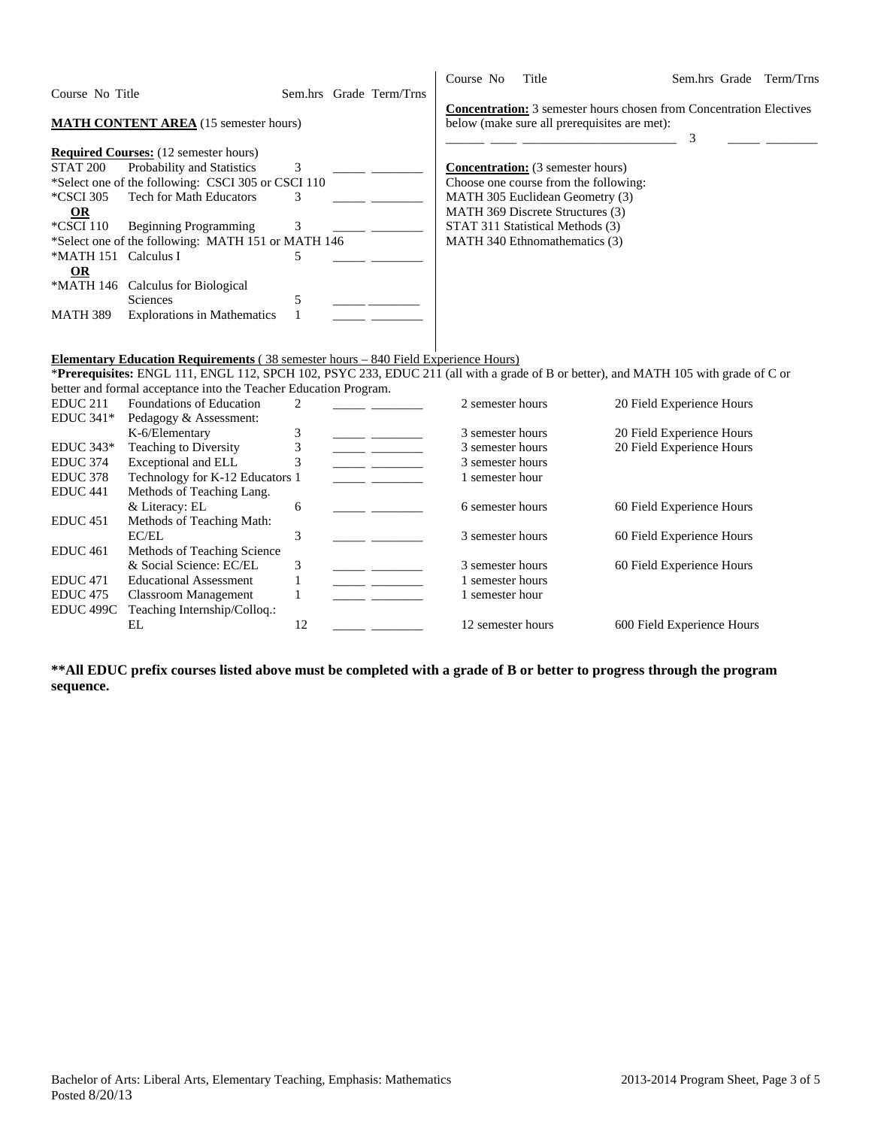|                      |                                                                                                                                     |              |                         | Course No         | Title                                                                      | Sem.hrs Grade              | Term/Trns |
|----------------------|-------------------------------------------------------------------------------------------------------------------------------------|--------------|-------------------------|-------------------|----------------------------------------------------------------------------|----------------------------|-----------|
| Course No Title      |                                                                                                                                     |              | Sem.hrs Grade Term/Trns |                   |                                                                            |                            |           |
|                      |                                                                                                                                     |              |                         |                   | <b>Concentration:</b> 3 semester hours chosen from Concentration Electives |                            |           |
|                      | <b>MATH CONTENT AREA</b> (15 semester hours)                                                                                        |              |                         |                   | below (make sure all prerequisites are met):                               |                            |           |
|                      |                                                                                                                                     |              |                         |                   |                                                                            | 3                          |           |
|                      | <b>Required Courses:</b> (12 semester hours)                                                                                        |              |                         |                   |                                                                            |                            |           |
| <b>STAT 200</b>      | Probability and Statistics                                                                                                          | 3            |                         |                   | <b>Concentration:</b> (3 semester hours)                                   |                            |           |
|                      | *Select one of the following: CSCI 305 or CSCI 110                                                                                  |              |                         |                   | Choose one course from the following:                                      |                            |           |
| *CSCI 305            | <b>Tech for Math Educators</b>                                                                                                      | 3            |                         |                   | MATH 305 Euclidean Geometry (3)                                            |                            |           |
| <b>OR</b>            |                                                                                                                                     |              |                         |                   | MATH 369 Discrete Structures (3)                                           |                            |           |
| *CSCI 110            | <b>Beginning Programming</b>                                                                                                        | 3            |                         |                   | STAT 311 Statistical Methods (3)                                           |                            |           |
|                      | *Select one of the following: MATH 151 or MATH 146                                                                                  |              |                         |                   | MATH 340 Ethnomathematics (3)                                              |                            |           |
| *MATH 151 Calculus I |                                                                                                                                     | 5            |                         |                   |                                                                            |                            |           |
| <b>OR</b>            |                                                                                                                                     |              |                         |                   |                                                                            |                            |           |
|                      | *MATH 146 Calculus for Biological                                                                                                   |              |                         |                   |                                                                            |                            |           |
|                      | Sciences                                                                                                                            | 5            |                         |                   |                                                                            |                            |           |
| <b>MATH 389</b>      | <b>Explorations in Mathematics</b>                                                                                                  | $\mathbf{1}$ |                         |                   |                                                                            |                            |           |
|                      |                                                                                                                                     |              |                         |                   |                                                                            |                            |           |
|                      |                                                                                                                                     |              |                         |                   |                                                                            |                            |           |
|                      | <b>Elementary Education Requirements</b> (38 semester hours – 840 Field Experience Hours)                                           |              |                         |                   |                                                                            |                            |           |
|                      | *Prerequisites: ENGL 111, ENGL 112, SPCH 102, PSYC 233, EDUC 211 (all with a grade of B or better), and MATH 105 with grade of C or |              |                         |                   |                                                                            |                            |           |
|                      | better and formal acceptance into the Teacher Education Program.                                                                    |              |                         |                   |                                                                            |                            |           |
| EDUC <sub>211</sub>  | Foundations of Education                                                                                                            | 2            |                         | 2 semester hours  |                                                                            | 20 Field Experience Hours  |           |
| <b>EDUC 341*</b>     | Pedagogy & Assessment:                                                                                                              |              |                         |                   |                                                                            |                            |           |
|                      | K-6/Elementary                                                                                                                      | 3            |                         | 3 semester hours  |                                                                            | 20 Field Experience Hours  |           |
| <b>EDUC 343*</b>     | Teaching to Diversity                                                                                                               | 3            |                         | 3 semester hours  |                                                                            | 20 Field Experience Hours  |           |
| <b>EDUC 374</b>      | Exceptional and ELL                                                                                                                 | 3            |                         | 3 semester hours  |                                                                            |                            |           |
| <b>EDUC 378</b>      | Technology for K-12 Educators 1                                                                                                     |              |                         | 1 semester hour   |                                                                            |                            |           |
| EDUC <sub>441</sub>  | Methods of Teaching Lang.                                                                                                           |              |                         |                   |                                                                            |                            |           |
|                      | & Literacy: EL                                                                                                                      | 6            |                         | 6 semester hours  |                                                                            | 60 Field Experience Hours  |           |
| <b>EDUC 451</b>      | Methods of Teaching Math:                                                                                                           |              |                         |                   |                                                                            |                            |           |
|                      | EC/EL                                                                                                                               | 3            |                         | 3 semester hours  |                                                                            | 60 Field Experience Hours  |           |
| <b>EDUC</b> 461      | Methods of Teaching Science                                                                                                         |              |                         |                   |                                                                            |                            |           |
|                      | & Social Science: EC/EL                                                                                                             | 3            |                         | 3 semester hours  |                                                                            | 60 Field Experience Hours  |           |
| <b>EDUC</b> 471      | <b>Educational Assessment</b>                                                                                                       | 1            |                         | 1 semester hours  |                                                                            |                            |           |
| <b>EDUC 475</b>      | <b>Classroom Management</b>                                                                                                         | $\mathbf{1}$ |                         | 1 semester hour   |                                                                            |                            |           |
| EDUC 499C            | Teaching Internship/Colloq.:                                                                                                        |              |                         |                   |                                                                            |                            |           |
|                      | EL                                                                                                                                  | 12           |                         | 12 semester hours |                                                                            | 600 Field Experience Hours |           |
|                      |                                                                                                                                     |              |                         |                   |                                                                            |                            |           |

**\*\*All EDUC prefix courses listed above must be completed with a grade of B or better to progress through the program sequence.**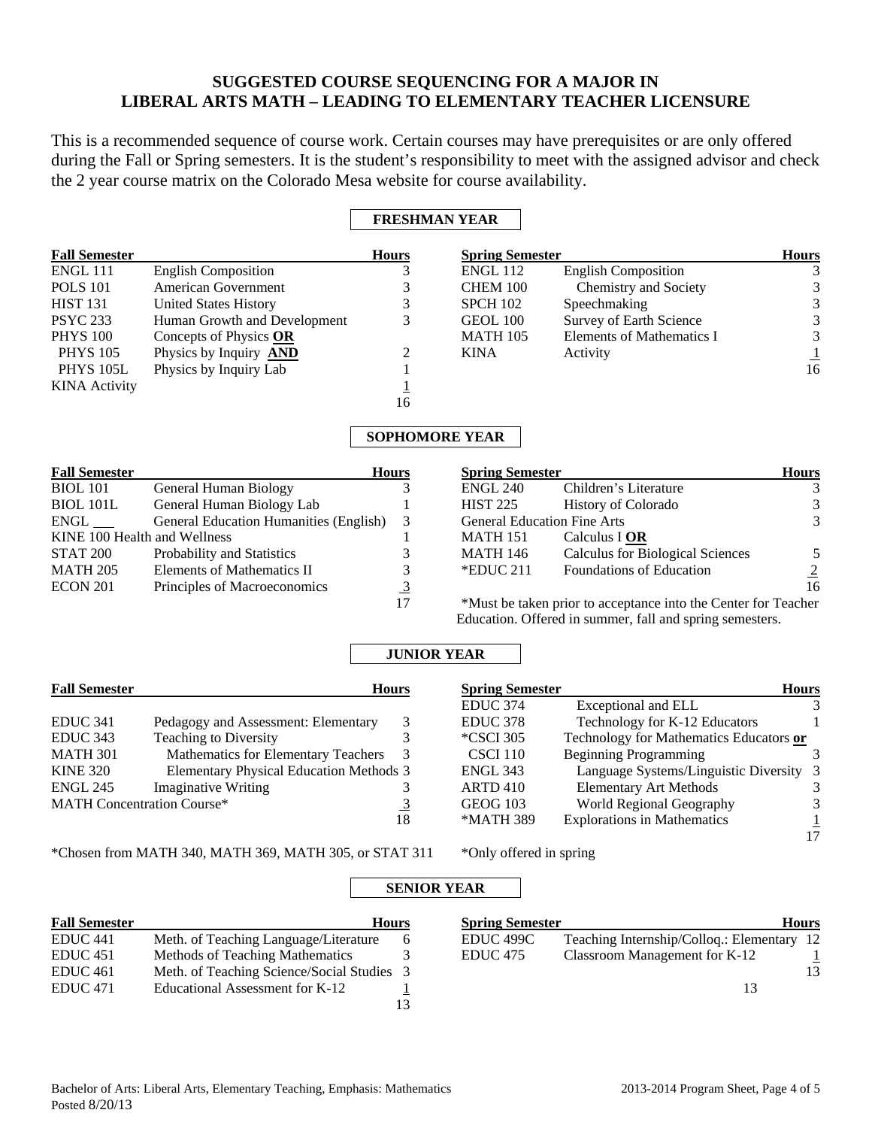## **SUGGESTED COURSE SEQUENCING FOR A MAJOR IN LIBERAL ARTS MATH – LEADING TO ELEMENTARY TEACHER LICENSURE**

This is a recommended sequence of course work. Certain courses may have prerequisites or are only offered during the Fall or Spring semesters. It is the student's responsibility to meet with the assigned advisor and check the 2 year course matrix on the Colorado Mesa website for course availability.

### **FRESHMAN YEAR**

| <b>Fall Semester</b> |                               | <b>Hours</b> | <b>Spring Semester</b> |                            | <b>Hours</b> |
|----------------------|-------------------------------|--------------|------------------------|----------------------------|--------------|
| <b>ENGL 111</b>      | <b>English Composition</b>    |              | <b>ENGL 112</b>        | <b>English Composition</b> |              |
| <b>POLS</b> 101      | American Government           |              | CHEM 100               | Chemistry and Society      | 3            |
| <b>HIST 131</b>      | <b>United States History</b>  |              | <b>SPCH 102</b>        | Speechmaking               | 3            |
| <b>PSYC 233</b>      | Human Growth and Development  | 3            | GEOL 100               | Survey of Earth Science    | 3            |
| <b>PHYS 100</b>      | Concepts of Physics OR        |              | <b>MATH 105</b>        | Elements of Mathematics I  | 3            |
| <b>PHYS 105</b>      | Physics by Inquiry <b>AND</b> |              | <b>KINA</b>            | Activity                   |              |
| <b>PHYS 105L</b>     | Physics by Inquiry Lab        |              |                        |                            | 16           |
| <b>KINA</b> Activity |                               |              |                        |                            |              |
|                      |                               | 16           |                        |                            |              |

### **SOPHOMORE YEAR**

| <b>Fall Semester</b>         |                                               | <b>Hours</b> | <b>Spring Semester</b>                                         |                                                          | <b>Hours</b>   |  |  |
|------------------------------|-----------------------------------------------|--------------|----------------------------------------------------------------|----------------------------------------------------------|----------------|--|--|
| <b>BIOL</b> 101              | General Human Biology                         |              | <b>ENGL 240</b>                                                | Children's Literature                                    | 3              |  |  |
| <b>BIOL 101L</b>             | General Human Biology Lab                     |              | <b>HIST 225</b>                                                | <b>History of Colorado</b>                               | 3              |  |  |
| ENGL                         | <b>General Education Humanities (English)</b> | 3            | <b>General Education Fine Arts</b>                             |                                                          | 3              |  |  |
| KINE 100 Health and Wellness |                                               |              | <b>MATH 151</b>                                                | Calculus I OR                                            |                |  |  |
| STAT 200                     | Probability and Statistics                    |              | MATH 146                                                       | <b>Calculus for Biological Sciences</b>                  |                |  |  |
| <b>MATH 205</b>              | Elements of Mathematics II                    |              | $*$ EDUC 211                                                   | Foundations of Education                                 | $\overline{2}$ |  |  |
| <b>ECON 201</b>              | Principles of Macroeconomics                  |              |                                                                |                                                          | 16             |  |  |
|                              |                                               | 17           | *Must be taken prior to acceptance into the Center for Teacher |                                                          |                |  |  |
|                              |                                               |              |                                                                | Education. Offered in summer, fall and spring semesters. |                |  |  |

# **JUNIOR YEAR**

| <b>Fall Semester</b>              | <b>Hours</b>                                   |   |
|-----------------------------------|------------------------------------------------|---|
|                                   |                                                |   |
| EDUC <sub>341</sub>               | Pedagogy and Assessment: Elementary            | 3 |
| <b>EDUC</b> 343                   | <b>Teaching to Diversity</b>                   | 3 |
| <b>MATH 301</b>                   | Mathematics for Elementary Teachers            | 3 |
| <b>KINE 320</b>                   | <b>Elementary Physical Education Methods 3</b> |   |
| <b>ENGL 245</b>                   | <b>Imaginative Writing</b>                     |   |
| <b>MATH Concentration Course*</b> |                                                |   |
|                                   |                                                |   |

 17 \*Chosen from MATH 340, MATH 369, MATH 305, or STAT 311 \* Only offered in spring

**Spring Semester Hours** EDUC 374 Exceptional and ELL 3 EDUC 378 Technology for K-12 Educators 1 \*CSCI 305 Technology for Mathematics Educators **or** CSCI 110 Beginning Programming 3 ENGL 343 Language Systems/Linguistic Diversity 3 ARTD 410 Elementary Art Methods 3<br>GEOG 103 World Regional Geography 3

\*MATH 389 Explorations in Mathematics  $\frac{1}{2}$ 

GEOG 103 World Regional Geography

# **SENIOR YEAR**

| <b>Fall Semester</b> |                                            | <b>Hours</b> | <b>Spring Semester</b> |                                            | <b>Hours</b> |
|----------------------|--------------------------------------------|--------------|------------------------|--------------------------------------------|--------------|
| EDUC <sub>441</sub>  | Meth. of Teaching Language/Literature      |              | EDUC <sub>499C</sub>   | Teaching Internship/Colloq.: Elementary 12 |              |
| EDUC <sub>451</sub>  | Methods of Teaching Mathematics            |              | EDUC <sub>475</sub>    | Classroom Management for K-12              |              |
| EDUC <sub>461</sub>  | Meth. of Teaching Science/Social Studies 3 |              |                        |                                            | 13           |
| EDUC <sub>471</sub>  | Educational Assessment for K-12            |              |                        |                                            |              |
|                      |                                            |              |                        |                                            |              |